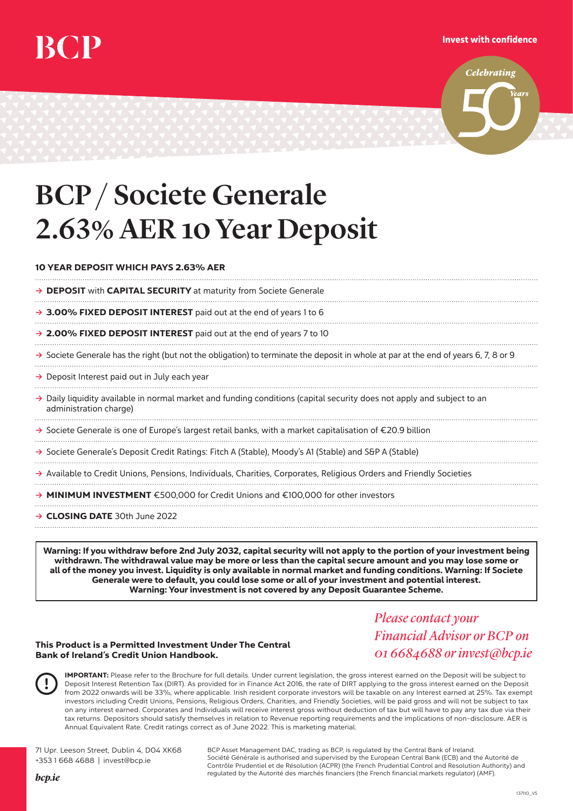## Invest with confidence



## BCP / Societe Generale 2.63% AER 10 Year Deposit

## 10 YEAR DEPOSIT WHICH PAYS 2.63% AER

→ **DEPOSIT** with **CAPITAL SECURITY** at maturity from Societe Generale

- → 3.00% FIXED DEPOSIT INTEREST paid out at the end of years 1 to 6
- → 2.00% FIXED DEPOSIT INTEREST paid out at the end of years 7 to 10
- **Ò** Societe Generale has the right (but not the obligation) to terminate the deposit in whole at par at the end of years 6, 7, 8 or 9
- **→** Deposit Interest paid out in July each year
- **Ò** Daily liquidity available in normal market and funding conditions (capital security does not apply and subject to an administration charge)

**Ò** Societe Generale is one of Europe's largest retail banks, with a market capitalisation of €20.9 billion

- → Societe Generale's Deposit Credit Ratings: Fitch A (Stable), Moody's A1 (Stable) and S&P A (Stable)
- **Ò** Available to Credit Unions, Pensions, Individuals, Charities, Corporates, Religious Orders and Friendly Societies
- **Ò** MINIMUM INVESTMENT €500,000 for Credit Unions and €100,000 for other investors
- **→ CLOSING DATE** 30th June 2022

Warning: If you withdraw before 2nd July 2032, capital security will not apply to the portion of your investment being withdrawn. The withdrawal value may be more or less than the capital secure amount and you may lose some or all of the money you invest. Liquidity is only available in normal market and funding conditions. Warning: If Societe Generale were to default, you could lose some or all of your investment and potential interest. Warning: Your investment is not covered by any Deposit Guarantee Scheme.

## This Product is a Permitted Investment Under The Central Bank of Ireland's Credit Union Handbook.

*Pleasecontact your Financial Advisor or BCP on 01 6684688 orinvest@bcp.ie*

IMPORTANT: Please refer to the Brochure for full details. Under current legislation, the gross interest earned on the Deposit will be subject to Deposit Interest Retention Tax (DIRT). As provided for in Finance Act 2016, the rate of DIRT applying to the gross interest earned on the Deposit from 2022 onwards will be 33%, where applicable. Irish resident corporate investors will be taxable on any Interest earned at 25%. Tax exempt investors including Credit Unions, Pensions, Religious Orders, Charities, and Friendly Societies, will be paid gross and will not be subject to tax on any interest earned. Corporates and Individuals will receive interest gross without deduction of tax but will have to pay any tax due via their tax returns. Depositors should satisfy themselves in relation to Revenue reporting requirements and the implications of non-disclosure. AER is Annual Equivalent Rate. Credit ratings correct as of June 2022. This is marketing material.

71 Upr. Leeson Street, Dublin 4, D04 XK68 +353 1 668 4688 | invest@bcp.ie

BCP Asset Management DAC, trading as BCP, is regulated by the Central Bank of Ireland. Société Générale is authorised and supervised by the European Central Bank (ECB) and the Autorité de Contrôle Prudentiel et de Résolution (ACPR) (the French Prudential Control and Resolution Authority) and regulated by the Autorité des marchés financiers (the French financial markets regulator) (AMF).